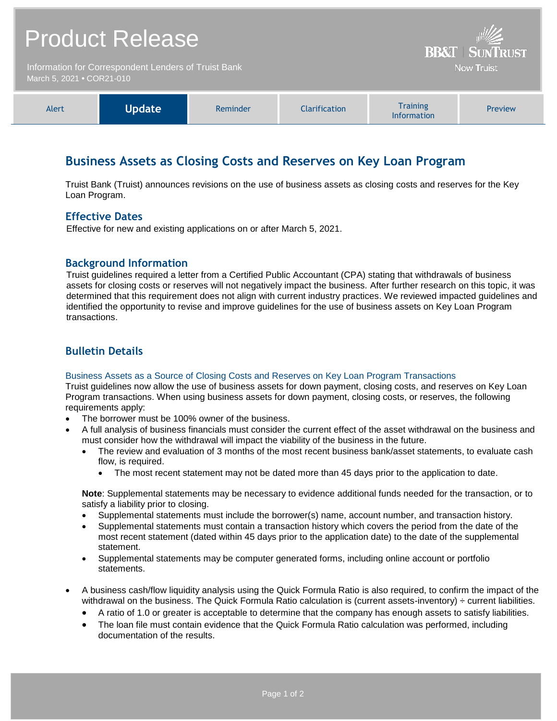| <b>Product Release</b>                                                            |               |          |               | <b>BB&amp;T   SUNTRUST</b>                                                                    |         |
|-----------------------------------------------------------------------------------|---------------|----------|---------------|-----------------------------------------------------------------------------------------------|---------|
| Information for Correspondent Lenders of Truist Bank<br>March 5, 2021 • COR21-010 |               |          |               | <b>Now Truist</b>                                                                             |         |
|                                                                                   |               |          |               |                                                                                               |         |
| Alert                                                                             | <b>Update</b> | Reminder | Clarification | <b>Training</b><br>$\mathbf{1}$ and $\mathbf{1}$ are also as a set of the set of $\mathbf{1}$ | Preview |

# **Business Assets as Closing Costs and Reserves on Key Loan Program**

Truist Bank (Truist) announces revisions on the use of business assets as closing costs and reserves for the Key Loan Program.

Information

### **Effective Dates**

Effective for new and existing applications on or after March 5, 2021.

### **Background Information**

Truist guidelines required a letter from a Certified Public Accountant (CPA) stating that withdrawals of business assets for closing costs or reserves will not negatively impact the business. After further research on this topic, it was determined that this requirement does not align with current industry practices. We reviewed impacted guidelines and identified the opportunity to revise and improve guidelines for the use of business assets on Key Loan Program transactions.

### **Bulletin Details**

### Business Assets as a Source of Closing Costs and Reserves on Key Loan Program Transactions

Truist guidelines now allow the use of business assets for down payment, closing costs, and reserves on Key Loan Program transactions. When using business assets for down payment, closing costs, or reserves, the following requirements apply:

- The borrower must be 100% owner of the business.
- A full analysis of business financials must consider the current effect of the asset withdrawal on the business and must consider how the withdrawal will impact the viability of the business in the future.
	- The review and evaluation of 3 months of the most recent business bank/asset statements, to evaluate cash flow, is required.
		- The most recent statement may not be dated more than 45 days prior to the application to date.

**Note**: Supplemental statements may be necessary to evidence additional funds needed for the transaction, or to satisfy a liability prior to closing.

- Supplemental statements must include the borrower(s) name, account number, and transaction history.
- Supplemental statements must contain a transaction history which covers the period from the date of the most recent statement (dated within 45 days prior to the application date) to the date of the supplemental statement.
- Supplemental statements may be computer generated forms, including online account or portfolio statements.
- A business cash/flow liquidity analysis using the Quick Formula Ratio is also required, to confirm the impact of the withdrawal on the business. The Quick Formula Ratio calculation is (current assets-inventory) ÷ current liabilities.
	- A ratio of 1.0 or greater is acceptable to determine that the company has enough assets to satisfy liabilities.
	- The loan file must contain evidence that the Quick Formula Ratio calculation was performed, including documentation of the results.